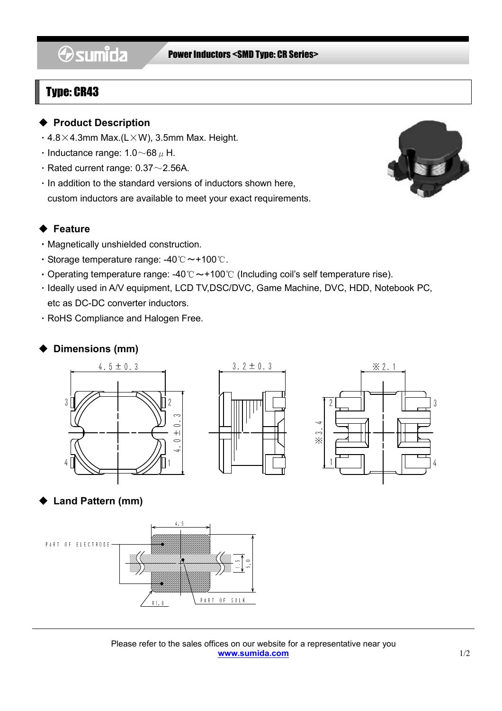# **Osumida**

#### Power Inductors <SMD Type: CR Series>

# Type: CR43

l

#### ◆ Product Description

- $\cdot$  4.8×4.3mm Max.(L×W), 3.5mm Max. Height.
- Inductance range:  $1.0 \sim 68 \mu$  H.
- Rated current range:  $0.37 \sim 2.56$ A.
- ・In addition to the standard versions of inductors shown here, custom inductors are available to meet your exact requirements.

### ◆ Feature

- ・Magnetically unshielded construction.
- ・Storage temperature range: -40℃~+100℃.
- Operating temperature range: -40℃  $\sim$  +100℃ (Including coil's self temperature rise).
- ・Ideally used in A/V equipment, LCD TV,DSC/DVC, Game Machine, DVC, HDD, Notebook PC, etc as DC-DC converter inductors.
- ・RoHS Compliance and Halogen Free.

## ◆ Dimensions (mm)





# **Land Pattern (mm)**